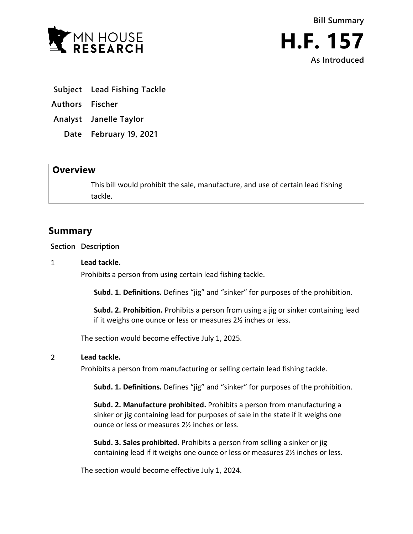

- **Subject Lead Fishing Tackle**
- **Authors Fischer**
- **Analyst Janelle Taylor**
	- **Date February 19, 2021**

## **Overview**

This bill would prohibit the sale, manufacture, and use of certain lead fishing tackle.

## **Summary**

**Section Description**

## $\mathbf{1}$ **Lead tackle.**

Prohibits a person from using certain lead fishing tackle.

**Subd. 1. Definitions.** Defines "jig" and "sinker" for purposes of the prohibition.

**Subd. 2. Prohibition.** Prohibits a person from using a jig or sinker containing lead if it weighs one ounce or less or measures 2½ inches or less.

The section would become effective July 1, 2025.

## $\overline{2}$ **Lead tackle.**

Prohibits a person from manufacturing or selling certain lead fishing tackle.

**Subd. 1. Definitions.** Defines "jig" and "sinker" for purposes of the prohibition.

**Subd. 2. Manufacture prohibited.** Prohibits a person from manufacturing a sinker or jig containing lead for purposes of sale in the state if it weighs one ounce or less or measures 2½ inches or less.

**Subd. 3. Sales prohibited.** Prohibits a person from selling a sinker or jig containing lead if it weighs one ounce or less or measures 2½ inches or less.

The section would become effective July 1, 2024.